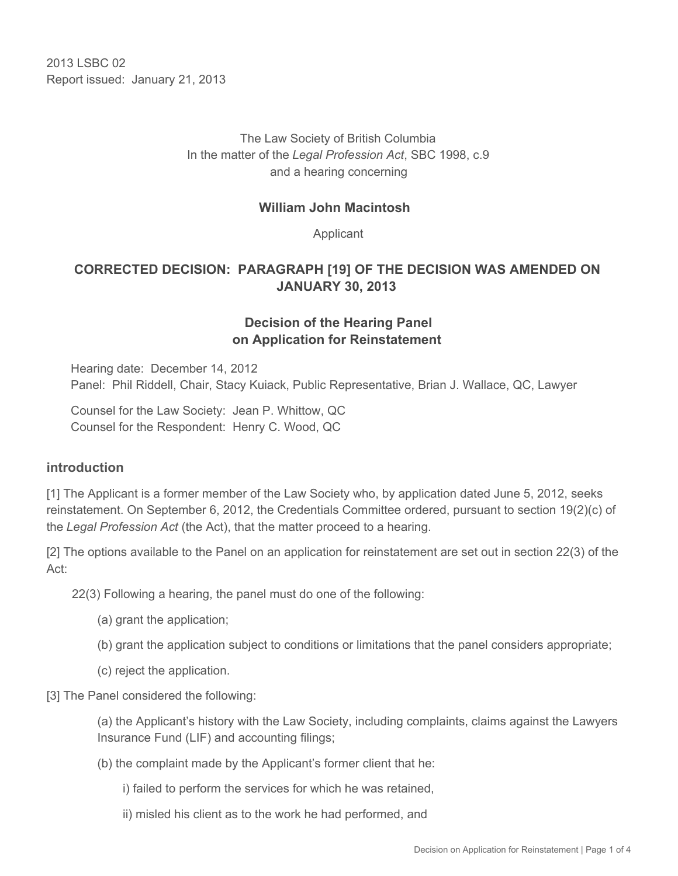2013 LSBC 02 Report issued: January 21, 2013

# The Law Society of British Columbia In the matter of the *Legal Profession Act*, SBC 1998, c.9 and a hearing concerning

### **William John Macintosh**

Applicant

# **CORRECTED DECISION: PARAGRAPH [19] OF THE DECISION WAS AMENDED ON JANUARY 30, 2013**

# **Decision of the Hearing Panel on Application for Reinstatement**

Hearing date: December 14, 2012 Panel: Phil Riddell, Chair, Stacy Kuiack, Public Representative, Brian J. Wallace, QC, Lawyer

Counsel for the Law Society: Jean P. Whittow, QC Counsel for the Respondent: Henry C. Wood, QC

#### **introduction**

[1] The Applicant is a former member of the Law Society who, by application dated June 5, 2012, seeks reinstatement. On September 6, 2012, the Credentials Committee ordered, pursuant to section 19(2)(c) of the *Legal Profession Act* (the Act), that the matter proceed to a hearing.

[2] The options available to the Panel on an application for reinstatement are set out in section 22(3) of the Act:

22(3) Following a hearing, the panel must do one of the following:

- (a) grant the application;
- (b) grant the application subject to conditions or limitations that the panel considers appropriate;
- (c) reject the application.

[3] The Panel considered the following:

(a) the Applicant's history with the Law Society, including complaints, claims against the Lawyers Insurance Fund (LIF) and accounting filings;

(b) the complaint made by the Applicant's former client that he:

i) failed to perform the services for which he was retained,

ii) misled his client as to the work he had performed, and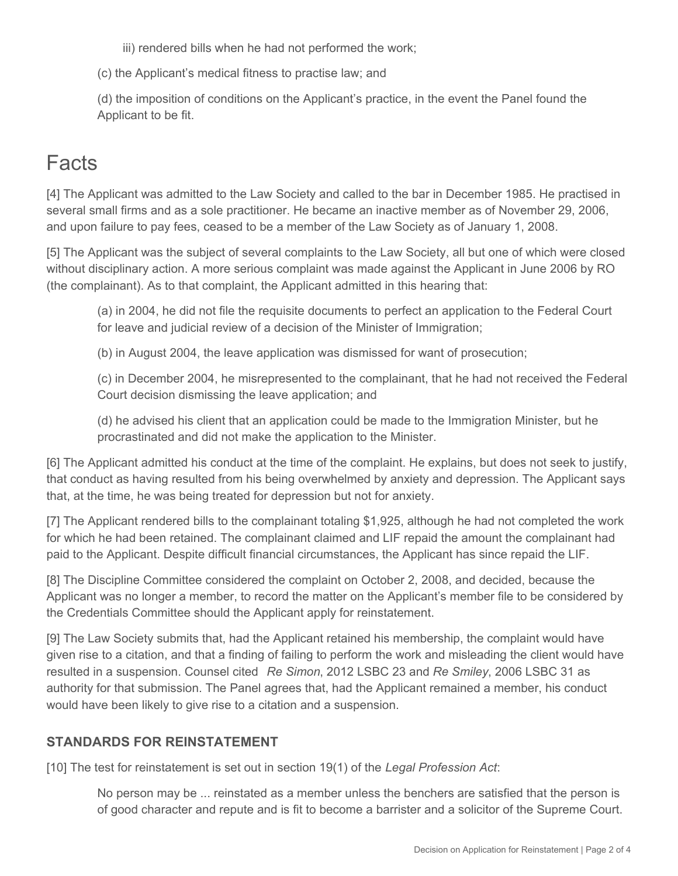iii) rendered bills when he had not performed the work;

(c) the Applicant's medical fitness to practise law; and

(d) the imposition of conditions on the Applicant's practice, in the event the Panel found the Applicant to be fit.

# **Facts**

[4] The Applicant was admitted to the Law Society and called to the bar in December 1985. He practised in several small firms and as a sole practitioner. He became an inactive member as of November 29, 2006, and upon failure to pay fees, ceased to be a member of the Law Society as of January 1, 2008.

[5] The Applicant was the subject of several complaints to the Law Society, all but one of which were closed without disciplinary action. A more serious complaint was made against the Applicant in June 2006 by RO (the complainant). As to that complaint, the Applicant admitted in this hearing that:

(a) in 2004, he did not file the requisite documents to perfect an application to the Federal Court for leave and judicial review of a decision of the Minister of Immigration;

(b) in August 2004, the leave application was dismissed for want of prosecution;

(c) in December 2004, he misrepresented to the complainant, that he had not received the Federal Court decision dismissing the leave application; and

(d) he advised his client that an application could be made to the Immigration Minister, but he procrastinated and did not make the application to the Minister.

[6] The Applicant admitted his conduct at the time of the complaint. He explains, but does not seek to justify, that conduct as having resulted from his being overwhelmed by anxiety and depression. The Applicant says that, at the time, he was being treated for depression but not for anxiety.

[7] The Applicant rendered bills to the complainant totaling \$1,925, although he had not completed the work for which he had been retained. The complainant claimed and LIF repaid the amount the complainant had paid to the Applicant. Despite difficult financial circumstances, the Applicant has since repaid the LIF.

[8] The Discipline Committee considered the complaint on October 2, 2008, and decided, because the Applicant was no longer a member, to record the matter on the Applicant's member file to be considered by the Credentials Committee should the Applicant apply for reinstatement.

[9] The Law Society submits that, had the Applicant retained his membership, the complaint would have given rise to a citation, and that a finding of failing to perform the work and misleading the client would have resulted in a suspension. Counsel cited *Re Simon*, 2012 LSBC 23 and *Re Smiley*, 2006 LSBC 31 as authority for that submission. The Panel agrees that, had the Applicant remained a member, his conduct would have been likely to give rise to a citation and a suspension.

## **STANDARDS FOR REINSTATEMENT**

[10] The test for reinstatement is set out in section 19(1) of the *Legal Profession Act*:

No person may be ... reinstated as a member unless the benchers are satisfied that the person is of good character and repute and is fit to become a barrister and a solicitor of the Supreme Court.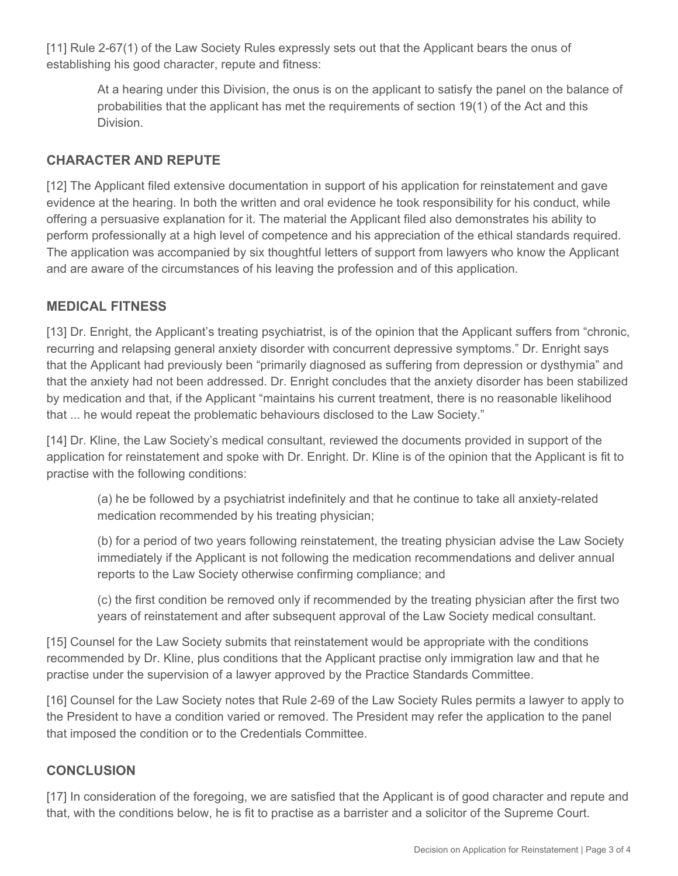[11] Rule 2-67(1) of the Law Society Rules expressly sets out that the Applicant bears the onus of establishing his good character, repute and fitness:

At a hearing under this Division, the onus is on the applicant to satisfy the panel on the balance of probabilities that the applicant has met the requirements of section 19(1) of the Act and this Division.

### **CHARACTER AND REPUTE**

[12] The Applicant filed extensive documentation in support of his application for reinstatement and gave evidence at the hearing. In both the written and oral evidence he took responsibility for his conduct, while offering a persuasive explanation for it. The material the Applicant filed also demonstrates his ability to perform professionally at a high level of competence and his appreciation of the ethical standards required. The application was accompanied by six thoughtful letters of support from lawyers who know the Applicant and are aware of the circumstances of his leaving the profession and of this application.

### **MEDICAL FITNESS**

[13] Dr. Enright, the Applicant's treating psychiatrist, is of the opinion that the Applicant suffers from "chronic, recurring and relapsing general anxiety disorder with concurrent depressive symptoms." Dr. Enright says that the Applicant had previously been "primarily diagnosed as suffering from depression or dysthymia" and that the anxiety had not been addressed. Dr. Enright concludes that the anxiety disorder has been stabilized by medication and that, if the Applicant "maintains his current treatment, there is no reasonable likelihood that ... he would repeat the problematic behaviours disclosed to the Law Society."

[14] Dr. Kline, the Law Society's medical consultant, reviewed the documents provided in support of the application for reinstatement and spoke with Dr. Enright. Dr. Kline is of the opinion that the Applicant is fit to practise with the following conditions:

(a) he be followed by a psychiatrist indefinitely and that he continue to take all anxiety-related medication recommended by his treating physician;

(b) for a period of two years following reinstatement, the treating physician advise the Law Society immediately if the Applicant is not following the medication recommendations and deliver annual reports to the Law Society otherwise confirming compliance; and

(c) the first condition be removed only if recommended by the treating physician after the first two years of reinstatement and after subsequent approval of the Law Society medical consultant.

[15] Counsel for the Law Society submits that reinstatement would be appropriate with the conditions recommended by Dr. Kline, plus conditions that the Applicant practise only immigration law and that he practise under the supervision of a lawyer approved by the Practice Standards Committee.

[16] Counsel for the Law Society notes that Rule 2-69 of the Law Society Rules permits a lawyer to apply to the President to have a condition varied or removed. The President may refer the application to the panel that imposed the condition or to the Credentials Committee.

## **CONCLUSION**

[17] In consideration of the foregoing, we are satisfied that the Applicant is of good character and repute and that, with the conditions below, he is fit to practise as a barrister and a solicitor of the Supreme Court.